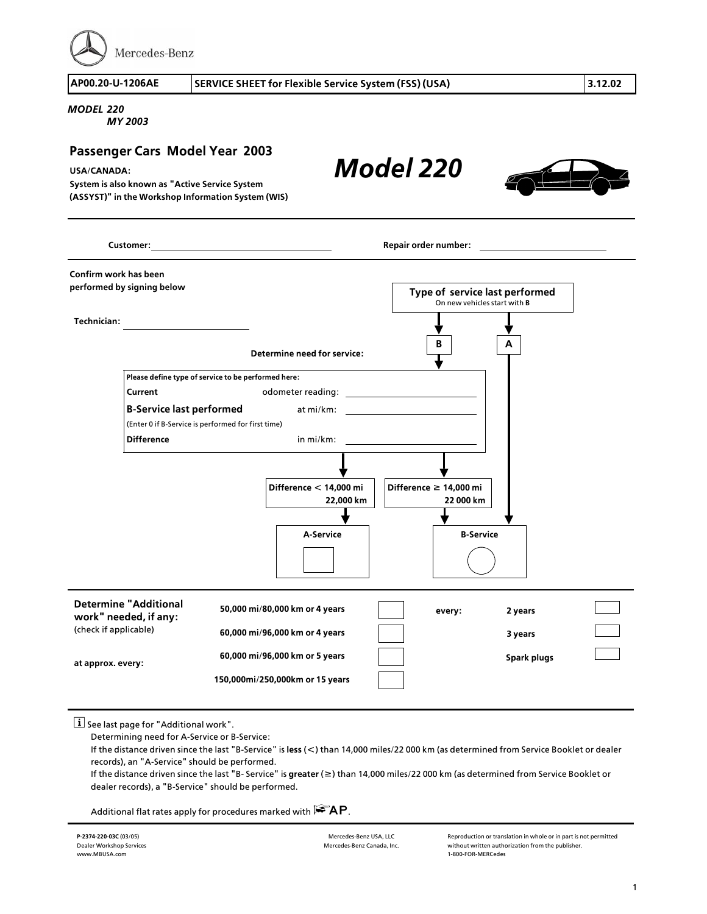Mercedes-Benz

**AP00.20>U>1206AE SERVICE SHEET for Flexible Service System (FSS) (USA) 3.12.02**

*Model 220*

*MODEL 220*

*MY 2003*

## **Passenger Cars Model Year 2003**

**USA/CANADA:** 

**System is also known as "Active Service System (ASSYST)" in the Workshop Information System (WIS)**

**B A Technician: Customer: Repair order number: Confirm work has been performed by signing below Type of service last performed** On new vehicles start with **B Determine need for service: Please define type of service to be performed here: Current Current odometer reading: <sup>B</sup>>Service last performed** at mi/km: (Enter 0 if B-Service is performed for first time)<br>Difference **Difference** in mi/km: **Difference f 14,000 mi 22 000 km Difference < 14,000 mi 22,000 km <sup>A</sup>>Service <sup>B</sup>>Service Determine "Additional work" needed, if any:** (check if applicable) **at approx. every: 50,000 mi/80,000 km or 4 years 60,000 mi/96,000 km or 4 years 60,000 mi/96,000 km or 5 years 150,000mi/250,000km or 15 years every: 2 years 3 years Spark plugs**

 $\boxed{\mathbf{i}}$  See last page for "Additional work".

Determining need for A>Service or B>Service:

If the distance driven since the last "B>Service" is **less** (**<**) than 14,000 miles/22 000 km (as determined from Service Booklet or dealer records), an "A>Service" should be performed.

If the distance driven since the last "B> Service" is **greater** (**f**) than 14,000 miles/22 000 km (as determined from Service Booklet or dealer records), a "B>Service" should be performed.

Additional flat rates apply for procedures marked with  $\mathbb{R}$ AP.

**<sup>P</sup>>2374>220>03C** (03/05) Dealer Workshop Services www.MBUSA.com

Mercedes-Benz USA, LLC Mercedes>Benz Canada, Inc. Reproduction or translation in whole or in part is not permitted without written authorization from the publisher. <sup>1</sup>>800>FOR>MERCedes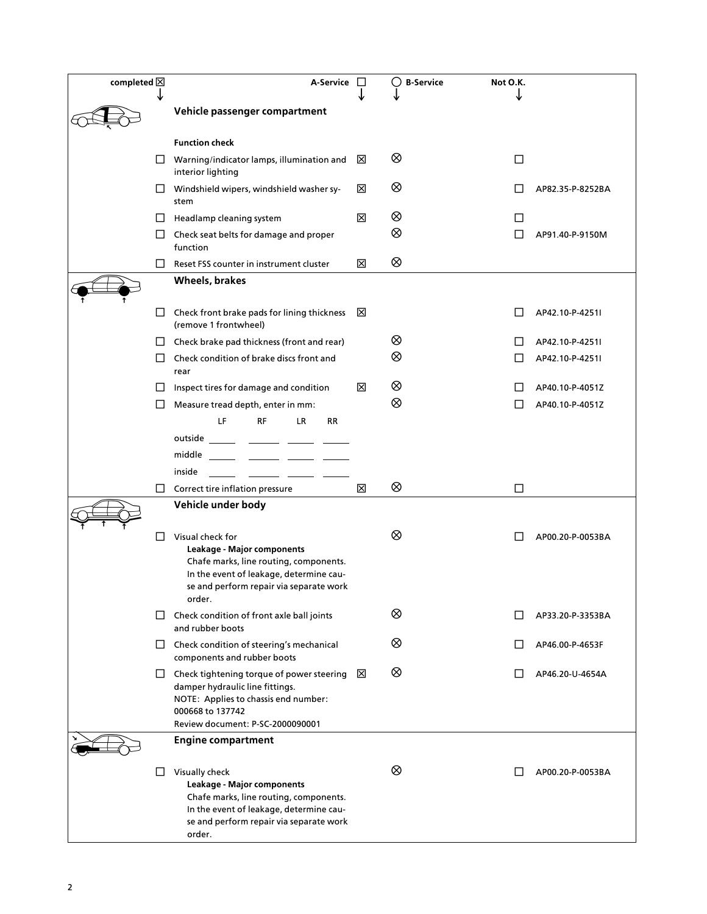| completed $\boxtimes$ |          | A-Service                                                                                                                                                                                                                                      | $\Box$ | <b>B-Service</b><br>() | Not O.K. |                  |
|-----------------------|----------|------------------------------------------------------------------------------------------------------------------------------------------------------------------------------------------------------------------------------------------------|--------|------------------------|----------|------------------|
|                       |          | Vehicle passenger compartment                                                                                                                                                                                                                  |        |                        |          |                  |
|                       |          |                                                                                                                                                                                                                                                |        |                        |          |                  |
|                       |          | <b>Function check</b>                                                                                                                                                                                                                          |        |                        |          |                  |
|                       |          | $\Box$ Warning/indicator lamps, illumination and<br>interior lighting                                                                                                                                                                          | ⊠      | ⊗                      | □        |                  |
|                       | $\Box$   | Windshield wipers, windshield washer sy-<br>stem                                                                                                                                                                                               | ⊠      | ⊗                      |          | AP82.35-P-8252BA |
|                       |          | Headlamp cleaning system                                                                                                                                                                                                                       | ⊠      | ⊗                      | L        |                  |
|                       | $\Box$   | Check seat belts for damage and proper<br>function                                                                                                                                                                                             |        | ⊗                      |          | AP91.40-P-9150M  |
|                       | $\Box$   | Reset FSS counter in instrument cluster                                                                                                                                                                                                        | ⊠      | ⊗                      |          |                  |
|                       |          | Wheels, brakes                                                                                                                                                                                                                                 |        |                        |          |                  |
|                       | ⊔        | Check front brake pads for lining thickness<br>(remove 1 frontwheel)                                                                                                                                                                           | ⊠      |                        |          | AP42.10-P-4251I  |
|                       | $\Box$   | Check brake pad thickness (front and rear)                                                                                                                                                                                                     |        | ⊗                      |          | AP42.10-P-4251I  |
|                       | $\Box$   | Check condition of brake discs front and<br>rear                                                                                                                                                                                               |        | ⊗                      |          | AP42.10-P-4251I  |
|                       | $\sqcup$ | Inspect tires for damage and condition                                                                                                                                                                                                         | ⊠      | ⊗                      |          | AP40.10-P-4051Z  |
|                       |          | Measure tread depth, enter in mm:                                                                                                                                                                                                              |        | ⊗                      | ΙI       | AP40.10-P-4051Z  |
|                       |          | LF<br><b>RF</b><br>LR.<br><b>RR</b>                                                                                                                                                                                                            |        |                        |          |                  |
|                       |          | outside                                                                                                                                                                                                                                        |        |                        |          |                  |
|                       |          | middle                                                                                                                                                                                                                                         |        |                        |          |                  |
|                       |          | inside<br><u>and the state of the state of the state of the state of the state of the state of the state of the state of the state of the state of the state of the state of the state of the state of the state of the state of the state</u> |        |                        |          |                  |
|                       | $\Box$   | Correct tire inflation pressure                                                                                                                                                                                                                | ⊠      | ⊗                      | □        |                  |
|                       |          | Vehicle under body                                                                                                                                                                                                                             |        |                        |          |                  |
|                       |          | Visual check for<br>Leakage - Major components<br>Chafe marks, line routing, components.<br>In the event of leakage, determine cau-<br>se and perform repair via separate work<br>order.                                                       |        | ⊗                      |          | AP00.20-P-0053BA |
|                       |          | Check condition of front axle ball joints<br>and rubber boots                                                                                                                                                                                  |        | ⊗                      |          | AP33.20-P-3353BA |
|                       |          | $\Box$ Check condition of steering's mechanical<br>components and rubber boots                                                                                                                                                                 |        | ⊗                      |          | AP46.00-P-4653F  |
|                       |          | $\Box$ Check tightening torque of power steering<br>damper hydraulic line fittings.<br>NOTE: Applies to chassis end number:<br>000668 to 137742<br>Review document: P-SC-2000090001                                                            | ⊠      | ⊗                      |          | AP46.20-U-4654A  |
|                       |          | <b>Engine compartment</b>                                                                                                                                                                                                                      |        |                        |          |                  |
|                       | ப        | Visually check<br>Leakage - Major components<br>Chafe marks, line routing, components.<br>In the event of leakage, determine cau-<br>se and perform repair via separate work<br>order.                                                         |        | ⊗                      |          | AP00.20-P-0053BA |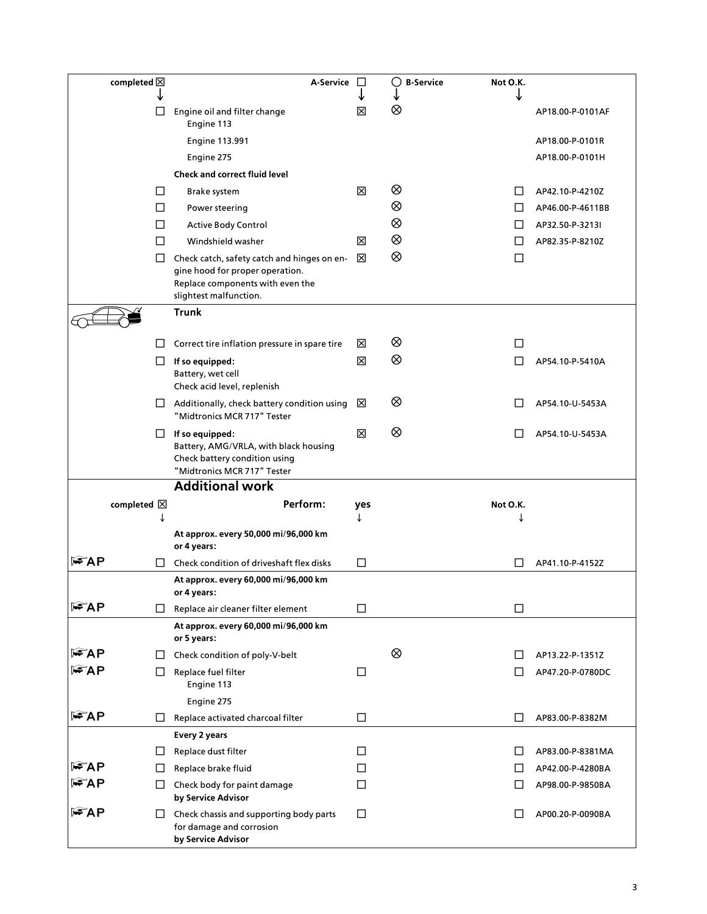| completed $\boxtimes$ | A-Service                                                                                                                                    | Ħ      | C)<br><b>B-Service</b> | Not O.K.     |                  |
|-----------------------|----------------------------------------------------------------------------------------------------------------------------------------------|--------|------------------------|--------------|------------------|
| L                     |                                                                                                                                              | Ι×Ι    | ⊗                      |              | AP18.00-P-0101AF |
|                       | Engine oil and filter change<br>Engine 113                                                                                                   |        |                        |              |                  |
|                       | <b>Engine 113.991</b>                                                                                                                        |        |                        |              | AP18.00-P-0101R  |
|                       | Engine 275                                                                                                                                   |        |                        |              | AP18.00-P-0101H  |
|                       | <b>Check and correct fluid level</b>                                                                                                         |        |                        |              |                  |
| П                     | Brake system                                                                                                                                 | ⊠      | ⊗                      |              | AP42.10-P-4210Z  |
| П                     | Power steering                                                                                                                               |        | ⊗                      | $\mathsf{L}$ | AP46.00-P-4611BB |
| П                     | <b>Active Body Control</b>                                                                                                                   |        | ⊗                      | LI           | AP32.50-P-3213I  |
| П                     | Windshield washer                                                                                                                            | ⊠      | ⊗                      | П            | AP82.35-P-8210Z  |
| $\Box$                | Check catch, safety catch and hinges on en-<br>gine hood for proper operation.<br>Replace components with even the<br>slightest malfunction. | ⊠      | ⊗                      | LI           |                  |
|                       | <b>Trunk</b>                                                                                                                                 |        |                        |              |                  |
| LI                    | Correct tire inflation pressure in spare tire                                                                                                | ×      | ⊗                      | $\mathsf{L}$ |                  |
| ப                     | If so equipped:                                                                                                                              | 区      | ⊗                      |              | AP54.10-P-5410A  |
|                       | Battery, wet cell<br>Check acid level, replenish                                                                                             |        |                        |              |                  |
|                       | $\Box$ Additionally, check battery condition using<br>"Midtronics MCR 717" Tester                                                            | ⊠      | ⊗                      | ΙI           | AP54.10-U-5453A  |
|                       | $\Box$ If so equipped:<br>Battery, AMG/VRLA, with black housing<br>Check battery condition using<br>"Midtronics MCR 717" Tester              | ⊠      | ⊗                      |              | AP54.10-U-5453A  |
|                       | <b>Additional work</b>                                                                                                                       |        |                        |              |                  |
| completed $\boxtimes$ | Perform:                                                                                                                                     | yes    |                        | Not O.K.     |                  |
|                       |                                                                                                                                              |        |                        |              |                  |
|                       | At approx. every 50,000 mi/96,000 km<br>or 4 years:                                                                                          |        |                        |              |                  |
| ll AP<br>П            | Check condition of driveshaft flex disks                                                                                                     | □      |                        |              | AP41.10-P-4152Z  |
|                       | At approx. every 60,000 mi/96,000 km<br>or 4 years:                                                                                          |        |                        |              |                  |
| <b>FAP</b><br>ப       | Replace air cleaner filter element                                                                                                           | $\Box$ |                        | $\Box$       |                  |
|                       | At approx. every 60,000 mi/96,000 km<br>or 5 years:                                                                                          |        |                        |              |                  |
| l FAP<br>LI           | Check condition of poly-V-belt                                                                                                               |        | ⊗                      |              | AP13.22-P-1351Z  |
| l FAP<br>П            | Replace fuel filter<br>Engine 113                                                                                                            | □      |                        | ΙI           | AP47.20-P-0780DC |
|                       | Engine 275                                                                                                                                   |        |                        |              |                  |
| FAP<br>□              | Replace activated charcoal filter                                                                                                            | □      |                        | П            | AP83.00-P-8382M  |
|                       | <b>Every 2 years</b>                                                                                                                         |        |                        |              |                  |
| U                     | Replace dust filter                                                                                                                          | ΙI     |                        |              | AP83.00-P-8381MA |
| l FAP<br>□            | Replace brake fluid                                                                                                                          | П      |                        | $\Box$       | AP42.00-P-4280BA |
| l FAP<br>□            | Check body for paint damage<br>by Service Advisor                                                                                            | ◘      |                        | Ш            | AP98.00-P-9850BA |
| l FAP<br>ப            | Check chassis and supporting body parts<br>for damage and corrosion<br>by Service Advisor                                                    | □      |                        |              | AP00.20-P-0090BA |